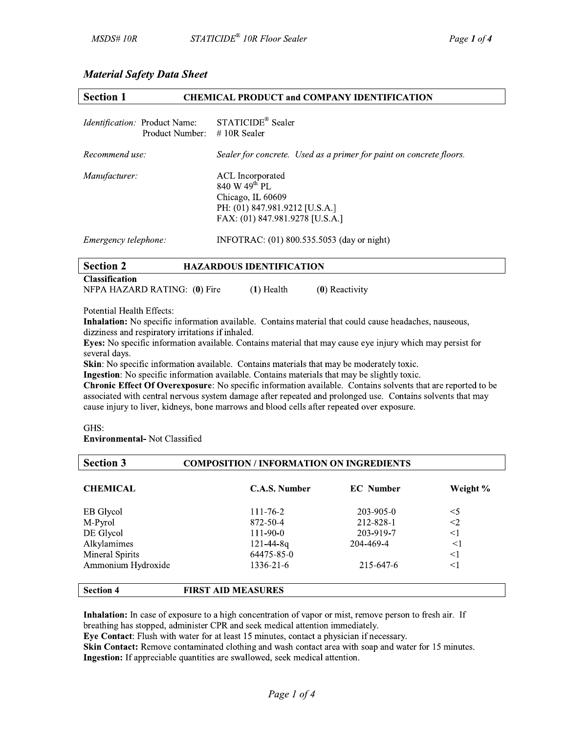# **Material Safety Data Sheet**

| <b>Section 1</b>                                                        | <b>CHEMICAL PRODUCT and COMPANY IDENTIFICATION</b>                                                                                      |
|-------------------------------------------------------------------------|-----------------------------------------------------------------------------------------------------------------------------------------|
| <i>Identification:</i> Product Name:<br>Product Number: $\#$ 10R Sealer | STATICIDE <sup>®</sup> Sealer                                                                                                           |
| Recommend use:                                                          | Sealer for concrete. Used as a primer for paint on concrete floors.                                                                     |
| Manufacturer:                                                           | ACL Incorporated<br>840 W 49 <sup>th</sup> PL<br>Chicago, IL 60609<br>PH: (01) 847.981.9212 [U.S.A.]<br>FAX: (01) 847.981.9278 [U.S.A.] |

Emergency telephone: INFOTRAC: (01) 800.535.5053 (day or night)

| <b>Section 2</b>             | <b>HAZARDOUS IDENTIFICATION</b> |                  |
|------------------------------|---------------------------------|------------------|
| <b>Classification</b>        |                                 |                  |
| NFPA HAZARD RATING: (0) Fire | (1) Health                      | $(0)$ Reactivity |

Potential Health Effects:

Inhalation: No specific information available. Contains material that could cause headaches, nauseous, dizziness and respiratory irritations if inhaled.

Eves: No specific information available. Contains material that may cause eve injury which may persist for several days.

Skin: No specific information available. Contains materials that may be moderately toxic.

**Ingestion:** No specific information available. Contains materials that may be slightly toxic.

Chronic Effect Of Overexposure: No specific information available. Contains solvents that are reported to be associated with central nervous system damage after repeated and prolonged use. Contains solvents that may cause injury to liver, kidneys, bone marrows and blood cells after repeated over exposure.

GHS:

**Environmental- Not Classified** 

| <b>Section 3</b>   | <b>COMPOSITION / INFORMATION ON INGREDIENTS</b> |                  |          |
|--------------------|-------------------------------------------------|------------------|----------|
| <b>CHEMICAL</b>    | C.A.S. Number                                   | <b>EC</b> Number | Weight % |
| EB Glycol          | $111 - 76 - 2$                                  | 203-905-0        | $<$ 5    |
| M-Pyrol            | 872-50-4                                        | 212-828-1        | $<$ 2    |
| DE Glycol          | $111 - 90 - 0$                                  | 203-919-7        | $<$ 1    |
| Alkylamimes        | $121 - 44 - 8q$                                 | 204-469-4        | $\leq$ 1 |
| Mineral Spirits    | 64475-85-0                                      |                  | $<$ 1    |
| Ammonium Hydroxide | 1336-21-6                                       | 215-647-6        | $<$ 1    |
| <b>Section 4</b>   | <b>FIRST AID MEASURES</b>                       |                  |          |

Inhalation: In case of exposure to a high concentration of vapor or mist, remove person to fresh air. If breathing has stopped, administer CPR and seek medical attention immediately.

Eye Contact: Flush with water for at least 15 minutes, contact a physician if necessary.

Skin Contact: Remove contaminated clothing and wash contact area with soap and water for 15 minutes. Ingestion: If appreciable quantities are swallowed, seek medical attention.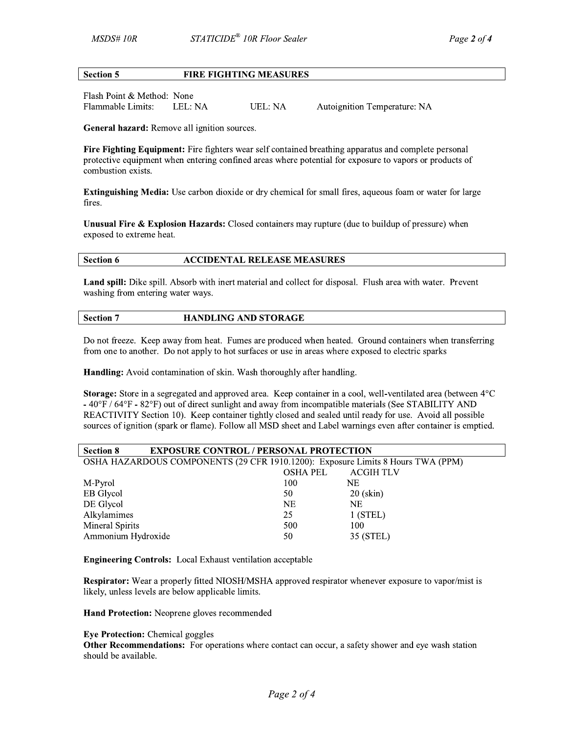#### **Section 5 FIRE FIGHTING MEASURES**

Flash Point & Method: None Flammable Limits: LEL: NA **UEL: NA** 

Autoignition Temperature: NA

General hazard: Remove all ignition sources.

Fire Fighting Equipment: Fire fighters wear self contained breathing apparatus and complete personal protective equipment when entering confined areas where potential for exposure to vapors or products of combustion exists.

**Extinguishing Media:** Use carbon dioxide or dry chemical for small fires, aqueous foam or water for large fires.

Unusual Fire & Explosion Hazards: Closed containers may rupture (due to buildup of pressure) when exposed to extreme heat.

#### Section 6 **ACCIDENTAL RELEASE MEASURES**

Land spill: Dike spill. Absorb with inert material and collect for disposal. Flush area with water. Prevent washing from entering water ways.

### **Section 7 HANDLING AND STORAGE**

Do not freeze. Keep away from heat. Fumes are produced when heated. Ground containers when transferring from one to another. Do not apply to hot surfaces or use in areas where exposed to electric sparks

Handling: Avoid contamination of skin. Wash thoroughly after handling.

Storage: Store in a segregated and approved area. Keep container in a cool, well-ventilated area (between 4°C  $-40^{\circ}F/64^{\circ}F - 82^{\circ}F$  out of direct sunlight and away from incompatible materials (See STABILITY AND REACTIVITY Section 10). Keep container tightly closed and sealed until ready for use. Avoid all possible sources of ignition (spark or flame). Follow all MSD sheet and Label warnings even after container is emptied.

| <b>Section 8</b>                                                                | <b>EXPOSURE CONTROL / PERSONAL PROTECTION</b> |           |             |
|---------------------------------------------------------------------------------|-----------------------------------------------|-----------|-------------|
| OSHA HAZARDOUS COMPONENTS (29 CFR 1910.1200): Exposure Limits 8 Hours TWA (PPM) |                                               |           |             |
|                                                                                 |                                               | OSHA PEL  | ACGIH TLV   |
| M-Pyrol                                                                         |                                               | 100       | NE.         |
| EB Glycol                                                                       |                                               | 50        | $20$ (skin) |
| DE Glycol                                                                       |                                               | <b>NE</b> | NE.         |
| Alkylamimes                                                                     |                                               | 25        | $1$ (STEL)  |
| Mineral Spirits                                                                 |                                               | 500       | 100         |
| Ammonium Hydroxide                                                              |                                               | 50        | 35 (STEL)   |

**Engineering Controls:** Local Exhaust ventilation acceptable

Respirator: Wear a properly fitted NIOSH/MSHA approved respirator whenever exposure to vapor/mist is likely, unless levels are below applicable limits.

Hand Protection: Neoprene gloves recommended

## **Eye Protection:** Chemical goggles

**Other Recommendations:** For operations where contact can occur, a safety shower and eye wash station should be available.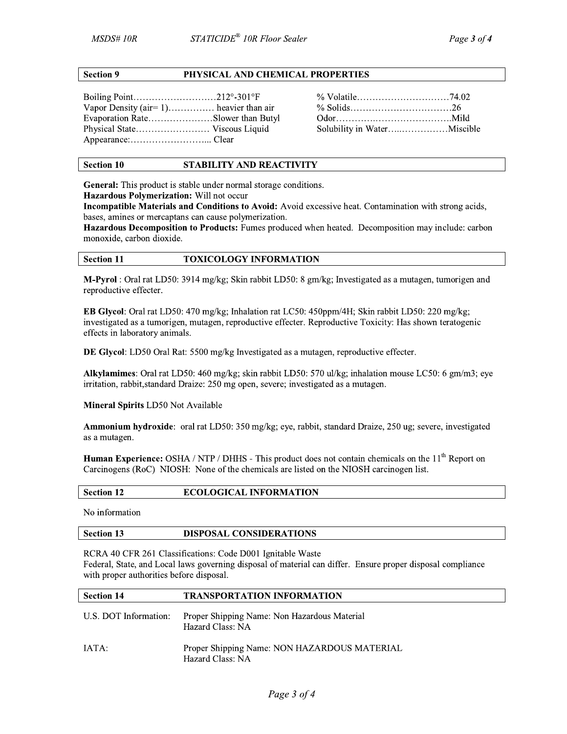### **Section 9**

## PHYSICAL AND CHEMICAL PROPERTIES

Boiling Point..............................212°-301°F Vapor Density (air= $1)$ ............... heavier than air Evaporation Rate....................Slower than Butyl Physical State............................. Viscous Liquid 

#### **STABILITY AND REACTIVITY Section 10**

**General:** This product is stable under normal storage conditions.

Hazardous Polymerization: Will not occur

Incompatible Materials and Conditions to Avoid: Avoid excessive heat. Contamination with strong acids, bases, amines or mercaptans can cause polymerization.

Hazardous Decomposition to Products: Fumes produced when heated. Decomposition may include: carbon monoxide, carbon dioxide.

#### **Section 11 TOXICOLOGY INFORMATION**

M-Pyrol: Oral rat LD50: 3914 mg/kg; Skin rabbit LD50: 8 gm/kg; Investigated as a mutagen, tumorigen and reproductive effecter.

EB Glycol: Oral rat LD50: 470 mg/kg; Inhalation rat LC50: 450ppm/4H; Skin rabbit LD50: 220 mg/kg; investigated as a tumorigen, mutagen, reproductive effecter. Reproductive Toxicity: Has shown teratogenic effects in laboratory animals.

DE Glycol: LD50 Oral Rat: 5500 mg/kg Investigated as a mutagen, reproductive effecter.

Alkylamimes: Oral rat LD50: 460 mg/kg; skin rabbit LD50: 570 ul/kg; inhalation mouse LC50: 6 gm/m3; eye irritation, rabbit, standard Draize: 250 mg open, severe; investigated as a mutagen.

Mineral Spirits LD50 Not Available

Ammonium hydroxide: oral rat LD50: 350 mg/kg; eye, rabbit, standard Draize, 250 ug; severe, investigated as a mutagen.

Human Experience: OSHA / NTP / DHHS - This product does not contain chemicals on the 11<sup>th</sup> Report on Carcinogens (RoC) NIOSH: None of the chemicals are listed on the NIOSH carcinogen list.

| <b>Section 12</b> | <b>ECOLOGICAL INFORMATION</b> |
|-------------------|-------------------------------|
|                   |                               |

No information

#### **Section 13 DISPOSAL CONSIDERATIONS**

RCRA 40 CFR 261 Classifications: Code D001 Ignitable Waste Federal, State, and Local laws governing disposal of material can differ. Ensure proper disposal compliance with proper authorities before disposal.

| <b>Section 14</b>     | <b>TRANSPORTATION INFORMATION</b>                                |
|-----------------------|------------------------------------------------------------------|
| U.S. DOT Information: | Proper Shipping Name: Non Hazardous Material<br>Hazard Class: NA |
| -IATA:                | Proper Shipping Name: NON HAZARDOUS MATERIAL<br>Hazard Class: NA |